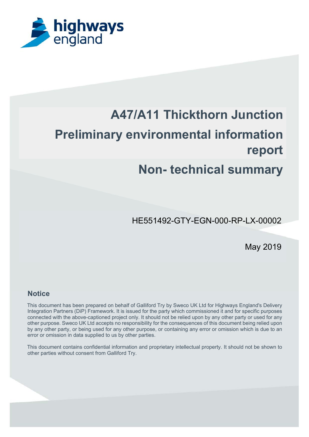

# **A47/A11 Thickthorn Junction Preliminary environmental information report**

# **Non- technical summary**

HE551492-GTY-EGN-000-RP-LX-00002

May 2019

#### **Notice**

This document has been prepared on behalf of Galliford Try by Sweco UK Ltd for Highways England's Delivery Integration Partners (DiP) Framework. It is issued for the party which commissioned it and for specific purposes connected with the above-captioned project only. It should not be relied upon by any other party or used for any other purpose. Sweco UK Ltd accepts no responsibility for the consequences of this document being relied upon by any other party, or being used for any other purpose, or containing any error or omission which is due to an error or omission in data supplied to us by other parties.

This document contains confidential information and proprietary intellectual property. It should not be shown to other parties without consent from Galliford Try.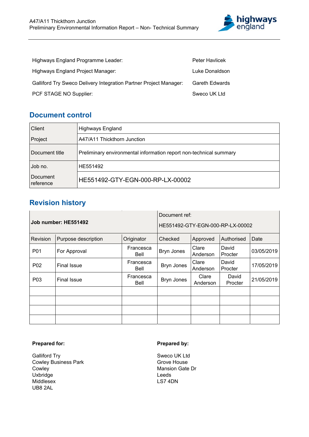

| Highways England Programme Leader:                                       | <b>Peter Havlicek</b> |
|--------------------------------------------------------------------------|-----------------------|
| Highways England Project Manager:                                        | Luke Donaldson        |
| <b>Galliford Try Sweco Delivery Integration Partner Project Manager:</b> | <b>Gareth Edwards</b> |
| PCF STAGE NO Supplier:                                                   | Sweco UK Ltd          |

# **Document control**

| Client                | <b>Highways England</b>                                            |
|-----------------------|--------------------------------------------------------------------|
| Project               | A47/A11 Thickthorn Junction                                        |
| Document title        | Preliminary environmental information report non-technical summary |
| Job no.               | HE551492                                                           |
| Document<br>reference | HE551492-GTY-EGN-000-RP-LX-00002                                   |

# **Revision history**

| Job number: HE551492 |                     |                   | Document ref:<br>HE551492-GTY-EGN-000-RP-LX-00002 |                   |                  |            |
|----------------------|---------------------|-------------------|---------------------------------------------------|-------------------|------------------|------------|
| Revision             | Purpose description | Originator        | Checked                                           | Approved          | Authorised       | Date       |
| P01                  | For Approval        | Francesca<br>Bell | Bryn Jones                                        | Clare<br>Anderson | David<br>Procter | 03/05/2019 |
| P <sub>02</sub>      | <b>Final Issue</b>  | Francesca<br>Bell | Bryn Jones                                        | Clare<br>Anderson | David<br>Procter | 17/05/2019 |
| P <sub>0</sub> 3     | <b>Final Issue</b>  | Francesca<br>Bell | Bryn Jones                                        | Clare<br>Anderson | David<br>Procter | 21/05/2019 |
|                      |                     |                   |                                                   |                   |                  |            |
|                      |                     |                   |                                                   |                   |                  |            |
|                      |                     |                   |                                                   |                   |                  |            |
|                      |                     |                   |                                                   |                   |                  |            |

#### **Prepared for:**

Galliford Try Cowley Business Park Cowley Uxbridge Middlesex UB8 2AL

#### **Prepared by:**

Sweco UK Ltd Grove House Mansion Gate Dr Leeds LS7 4DN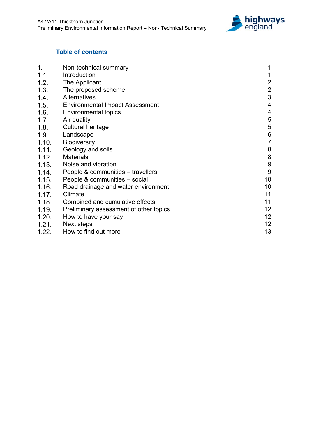

# **Table of contents**

| Non-technical summary                  | 1                 |
|----------------------------------------|-------------------|
| Introduction                           | 1                 |
| The Applicant                          | $\overline{2}$    |
| The proposed scheme                    | $\overline{2}$    |
| <b>Alternatives</b>                    | 3                 |
| <b>Environmental Impact Assessment</b> | $\overline{4}$    |
| <b>Environmental topics</b>            | 4                 |
| Air quality                            | 5                 |
| Cultural heritage                      | 5                 |
| Landscape                              | $6\phantom{a}$    |
| <b>Biodiversity</b>                    | $\overline{7}$    |
|                                        | 8                 |
| <b>Materials</b>                       | $\bf 8$           |
| Noise and vibration                    | 9                 |
| People & communities – travellers      | 9                 |
| People & communities - social          | 10                |
| Road drainage and water environment    | 10                |
| Climate                                | 11                |
| Combined and cumulative effects        | 11                |
| Preliminary assessment of other topics | 12 <sub>2</sub>   |
| How to have your say                   | 12                |
| Next steps                             | 12                |
| How to find out more                   | 13                |
|                                        | Geology and soils |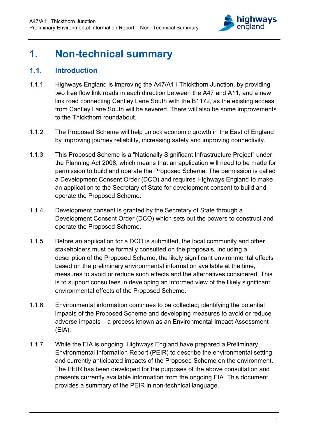

# **1. Non-technical summary**

# **Introduction**

- 1.1.1. Highways England is improving the A47/A11 Thickthorn Junction, by providing two free flow link roads in each direction between the A47 and A11, and a new link road connecting Cantley Lane South with the B1172, as the existing access from Cantley Lane South will be severed. There will also be some improvements to the Thickthorn roundabout.
- 1.1.2. The Proposed Scheme will help unlock economic growth in the East of England by improving journey reliability, increasing safety and improving connectivity.
- 1.1.3. This Proposed Scheme is a "Nationally Significant Infrastructure Project" under the Planning Act 2008, which means that an application will need to be made for permission to build and operate the Proposed Scheme. The permission is called a Development Consent Order (DCO) and requires Highways England to make an application to the Secretary of State for development consent to build and operate the Proposed Scheme.
- 1.1.4. Development consent is granted by the Secretary of State through a Development Consent Order (DCO) which sets out the powers to construct and operate the Proposed Scheme.
- 1.1.5. Before an application for a DCO is submitted, the local community and other stakeholders must be formally consulted on the proposals, including a description of the Proposed Scheme, the likely significant environmental effects based on the preliminary environmental information available at the time, measures to avoid or reduce such effects and the alternatives considered. This is to support consultees in developing an informed view of the likely significant environmental effects of the Proposed Scheme.
- 1.1.6. Environmental information continues to be collected; identifying the potential impacts of the Proposed Scheme and developing measures to avoid or reduce adverse impacts – a process known as an Environmental Impact Assessment (EIA).
- 1.1.7. While the EIA is ongoing, Highways England have prepared a Preliminary Environmental Information Report (PEIR) to describe the environmental setting and currently anticipated impacts of the Proposed Scheme on the environment. The PEIR has been developed for the purposes of the above consultation and presents currently available information from the ongoing EIA. This document provides a summary of the PEIR in non-technical language.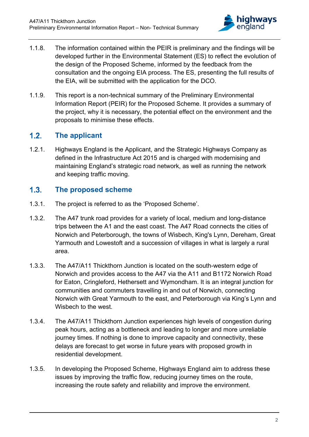

- 1.1.8. The information contained within the PEIR is preliminary and the findings will be developed further in the Environmental Statement (ES) to reflect the evolution of the design of the Proposed Scheme, informed by the feedback from the consultation and the ongoing EIA process. The ES, presenting the full results of the EIA, will be submitted with the application for the DCO.
- 1.1.9. This report is a non-technical summary of the Preliminary Environmental Information Report (PEIR) for the Proposed Scheme. It provides a summary of the project, why it is necessary, the potential effect on the environment and the proposals to minimise these effects.

# **The applicant**

1.2.1. Highways England is the Applicant, and the Strategic Highways Company as defined in the Infrastructure Act 2015 and is charged with modernising and maintaining England's strategic road network, as well as running the network and keeping traffic moving.

# **The proposed scheme**

- 1.3.1. The project is referred to as the 'Proposed Scheme'.
- 1.3.2. The A47 trunk road provides for a variety of local, medium and long-distance trips between the A1 and the east coast. The A47 Road connects the cities of Norwich and Peterborough, the towns of Wisbech, King's Lynn, Dereham, Great Yarmouth and Lowestoft and a succession of villages in what is largely a rural area.
- 1.3.3. The A47/A11 Thickthorn Junction is located on the south-western edge of Norwich and provides access to the A47 via the A11 and B1172 Norwich Road for Eaton, Cringleford, Hethersett and Wymondham. It is an integral junction for communities and commuters travelling in and out of Norwich, connecting Norwich with Great Yarmouth to the east, and Peterborough via King's Lynn and Wisbech to the west.
- 1.3.4. The A47/A11 Thickthorn Junction experiences high levels of congestion during peak hours, acting as a bottleneck and leading to longer and more unreliable journey times. If nothing is done to improve capacity and connectivity, these delays are forecast to get worse in future years with proposed growth in residential development.
- 1.3.5. In developing the Proposed Scheme, Highways England aim to address these issues by improving the traffic flow, reducing journey times on the route, increasing the route safety and reliability and improve the environment.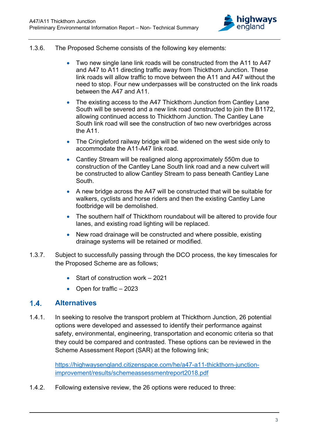

- 1.3.6. The Proposed Scheme consists of the following key elements:
	- Two new single lane link roads will be constructed from the A11 to A47 and A47 to A11 directing traffic away from Thickthorn Junction. These link roads will allow traffic to move between the A11 and A47 without the need to stop. Four new underpasses will be constructed on the link roads between the A47 and A11.
	- The existing access to the A47 Thickthorn Junction from Cantley Lane South will be severed and a new link road constructed to join the B1172, allowing continued access to Thickthorn Junction. The Cantley Lane South link road will see the construction of two new overbridges across the A11.
	- The Cringleford railway bridge will be widened on the west side only to accommodate the A11-A47 link road.
	- Cantley Stream will be realigned along approximately 550m due to construction of the Cantley Lane South link road and a new culvert will be constructed to allow Cantley Stream to pass beneath Cantley Lane South.
	- A new bridge across the A47 will be constructed that will be suitable for walkers, cyclists and horse riders and then the existing Cantley Lane footbridge will be demolished.
	- The southern half of Thickthorn roundabout will be altered to provide four lanes, and existing road lighting will be replaced.
	- New road drainage will be constructed and where possible, existing drainage systems will be retained or modified.
- 1.3.7. Subject to successfully passing through the DCO process, the key timescales for the Proposed Scheme are as follows;
	- Start of construction work 2021
	- Open for traffic  $-2023$

#### **Alternatives**

1.4.1. In seeking to resolve the transport problem at Thickthorn Junction, 26 potential options were developed and assessed to identify their performance against safety, environmental, engineering, transportation and economic criteria so that they could be compared and contrasted. These options can be reviewed in the Scheme Assessment Report (SAR) at the following link;

> https://highwaysengland.citizenspace.com/he/a47-a11-thickthorn-junctionimprovement/results/schemeassessmentreport2018.pdf

1.4.2. Following extensive review, the 26 options were reduced to three: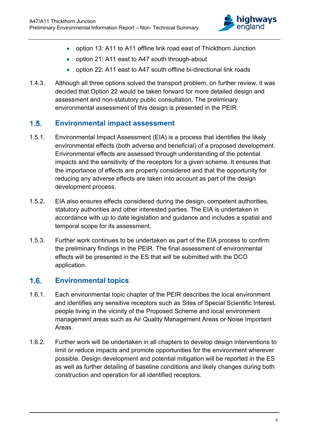

- option 13: A11 to A11 offline link road east of Thickthorn Junction
- option 21: A11 east to A47 south through-about
- option 22: A11 east to A47 south offline bi-directional link roads
- 1.4.3. Although all three options solved the transport problem, on further review, it was decided that Option 22 would be taken forward for more detailed design and assessment and non-statutory public consultation. The preliminary environmental assessment of this design is presented in the PEIR.

# **Environmental impact assessment**

- 1.5.1. Environmental Impact Assessment (EIA) is a process that identifies the likely environmental effects (both adverse and beneficial) of a proposed development. Environmental effects are assessed through understanding of the potential impacts and the sensitivity of the receptors for a given scheme. It ensures that the importance of effects are properly considered and that the opportunity for reducing any adverse effects are taken into account as part of the design development process.
- 1.5.2. EIA also ensures effects considered during the design, competent authorities, statutory authorities and other interested parties. The EIA is undertaken in accordance with up to date legislation and guidance and includes a spatial and temporal scope for its assessment.
- 1.5.3. Further work continues to be undertaken as part of the EIA process to confirm the preliminary findings in the PEIR. The final assessment of environmental effects will be presented in the ES that will be submitted with the DCO application.

# **Environmental topics**

- 1.6.1. Each environmental topic chapter of the PEIR describes the local environment and identifies any sensitive receptors such as Sites of Special Scientific Interest, people living in the vicinity of the Proposed Scheme and local environment management areas such as Air Quality Management Areas or Noise Important Areas.
- 1.6.2. Further work will be undertaken in all chapters to develop design interventions to limit or reduce impacts and promote opportunities for the environment wherever possible. Design development and potential mitigation will be reported in the ES as well as further detailing of baseline conditions and likely changes during both construction and operation for all identified receptors.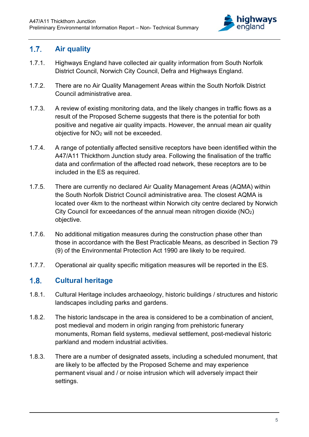

# **Air quality**

- 1.7.1. Highways England have collected air quality information from South Norfolk District Council, Norwich City Council, Defra and Highways England.
- 1.7.2. There are no Air Quality Management Areas within the South Norfolk District Council administrative area.
- 1.7.3. A review of existing monitoring data, and the likely changes in traffic flows as a result of the Proposed Scheme suggests that there is the potential for both positive and negative air quality impacts. However, the annual mean air quality objective for NO2 will not be exceeded.
- 1.7.4. A range of potentially affected sensitive receptors have been identified within the A47/A11 Thickthorn Junction study area. Following the finalisation of the traffic data and confirmation of the affected road network, these receptors are to be included in the ES as required.
- 1.7.5. There are currently no declared Air Quality Management Areas (AQMA) within the South Norfolk District Council administrative area. The closest AQMA is located over 4km to the northeast within Norwich city centre declared by Norwich City Council for exceedances of the annual mean nitrogen dioxide (NO2) objective.
- 1.7.6. No additional mitigation measures during the construction phase other than those in accordance with the Best Practicable Means, as described in Section 79 (9) of the Environmental Protection Act 1990 are likely to be required.
- 1.7.7. Operational air quality specific mitigation measures will be reported in the ES.

# **Cultural heritage**

- 1.8.1. Cultural Heritage includes archaeology, historic buildings / structures and historic landscapes including parks and gardens.
- 1.8.2. The historic landscape in the area is considered to be a combination of ancient, post medieval and modern in origin ranging from prehistoric funerary monuments, Roman field systems, medieval settlement, post-medieval historic parkland and modern industrial activities.
- 1.8.3. There are a number of designated assets, including a scheduled monument, that are likely to be affected by the Proposed Scheme and may experience permanent visual and / or noise intrusion which will adversely impact their settings.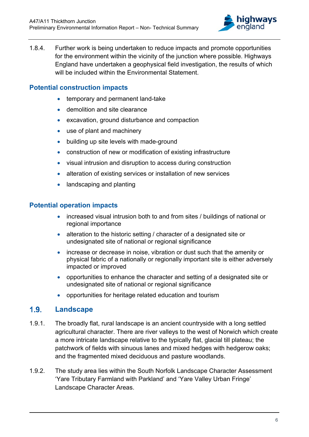

1.8.4. Further work is being undertaken to reduce impacts and promote opportunities for the environment within the vicinity of the junction where possible. Highways England have undertaken a geophysical field investigation, the results of which will be included within the Environmental Statement.

# **Potential construction impacts**

- temporary and permanent land-take
- demolition and site clearance
- excavation, ground disturbance and compaction
- use of plant and machinery
- building up site levels with made-ground
- construction of new or modification of existing infrastructure
- visual intrusion and disruption to access during construction
- alteration of existing services or installation of new services
- landscaping and planting

#### **Potential operation impacts**

- increased visual intrusion both to and from sites / buildings of national or regional importance
- alteration to the historic setting / character of a designated site or undesignated site of national or regional significance
- increase or decrease in noise, vibration or dust such that the amenity or physical fabric of a nationally or regionally important site is either adversely impacted or improved
- opportunities to enhance the character and setting of a designated site or undesignated site of national or regional significance
- opportunities for heritage related education and tourism

#### **Landscape**

- 1.9.1. The broadly flat, rural landscape is an ancient countryside with a long settled agricultural character. There are river valleys to the west of Norwich which create a more intricate landscape relative to the typically flat, glacial till plateau; the patchwork of fields with sinuous lanes and mixed hedges with hedgerow oaks; and the fragmented mixed deciduous and pasture woodlands.
- 1.9.2. The study area lies within the South Norfolk Landscape Character Assessment 'Yare Tributary Farmland with Parkland' and 'Yare Valley Urban Fringe' Landscape Character Areas.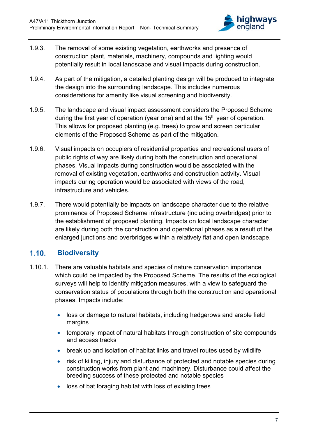

- 1.9.3. The removal of some existing vegetation, earthworks and presence of construction plant, materials, machinery, compounds and lighting would potentially result in local landscape and visual impacts during construction.
- 1.9.4. As part of the mitigation, a detailed planting design will be produced to integrate the design into the surrounding landscape. This includes numerous considerations for amenity like visual screening and biodiversity.
- 1.9.5. The landscape and visual impact assessment considers the Proposed Scheme during the first year of operation (year one) and at the  $15<sup>th</sup>$  year of operation. This allows for proposed planting (e.g. trees) to grow and screen particular elements of the Proposed Scheme as part of the mitigation.
- 1.9.6. Visual impacts on occupiers of residential properties and recreational users of public rights of way are likely during both the construction and operational phases. Visual impacts during construction would be associated with the removal of existing vegetation, earthworks and construction activity. Visual impacts during operation would be associated with views of the road, infrastructure and vehicles.
- 1.9.7. There would potentially be impacts on landscape character due to the relative prominence of Proposed Scheme infrastructure (including overbridges) prior to the establishment of proposed planting. Impacts on local landscape character are likely during both the construction and operational phases as a result of the enlarged junctions and overbridges within a relatively flat and open landscape.

# **Biodiversity**

- 1.10.1. There are valuable habitats and species of nature conservation importance which could be impacted by the Proposed Scheme. The results of the ecological surveys will help to identify mitigation measures, with a view to safeguard the conservation status of populations through both the construction and operational phases. Impacts include:
	- loss or damage to natural habitats, including hedgerows and arable field margins
	- temporary impact of natural habitats through construction of site compounds and access tracks
	- break up and isolation of habitat links and travel routes used by wildlife
	- risk of killing, injury and disturbance of protected and notable species during construction works from plant and machinery. Disturbance could affect the breeding success of these protected and notable species
	- loss of bat foraging habitat with loss of existing trees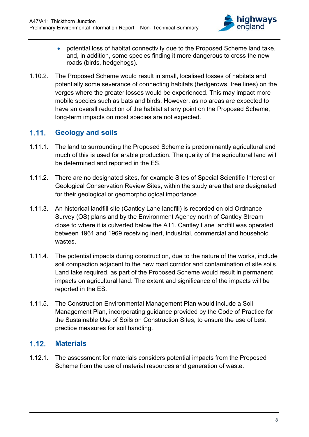

- potential loss of habitat connectivity due to the Proposed Scheme land take, and, in addition, some species finding it more dangerous to cross the new roads (birds, hedgehogs).
- 1.10.2. The Proposed Scheme would result in small, localised losses of habitats and potentially some severance of connecting habitats (hedgerows, tree lines) on the verges where the greater losses would be experienced. This may impact more mobile species such as bats and birds. However, as no areas are expected to have an overall reduction of the habitat at any point on the Proposed Scheme, long-term impacts on most species are not expected.

# **Geology and soils**

- 1.11.1. The land to surrounding the Proposed Scheme is predominantly agricultural and much of this is used for arable production. The quality of the agricultural land will be determined and reported in the ES.
- 1.11.2. There are no designated sites, for example Sites of Special Scientific Interest or Geological Conservation Review Sites, within the study area that are designated for their geological or geomorphological importance.
- 1.11.3. An historical landfill site (Cantley Lane landfill) is recorded on old Ordnance Survey (OS) plans and by the Environment Agency north of Cantley Stream close to where it is culverted below the A11. Cantley Lane landfill was operated between 1961 and 1969 receiving inert, industrial, commercial and household wastes.
- 1.11.4. The potential impacts during construction, due to the nature of the works, include soil compaction adjacent to the new road corridor and contamination of site soils. Land take required, as part of the Proposed Scheme would result in permanent impacts on agricultural land. The extent and significance of the impacts will be reported in the ES.
- 1.11.5. The Construction Environmental Management Plan would include a Soil Management Plan, incorporating guidance provided by the Code of Practice for the Sustainable Use of Soils on Construction Sites, to ensure the use of best practice measures for soil handling.

# **Materials**

1.12.1. The assessment for materials considers potential impacts from the Proposed Scheme from the use of material resources and generation of waste.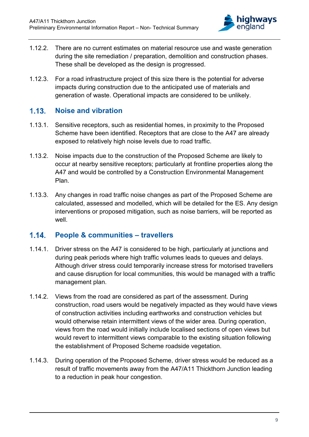

- 1.12.2. There are no current estimates on material resource use and waste generation during the site remediation / preparation, demolition and construction phases. These shall be developed as the design is progressed.
- 1.12.3. For a road infrastructure project of this size there is the potential for adverse impacts during construction due to the anticipated use of materials and generation of waste. Operational impacts are considered to be unlikely.

# **1.13.** Noise and vibration

- 1.13.1. Sensitive receptors, such as residential homes, in proximity to the Proposed Scheme have been identified. Receptors that are close to the A47 are already exposed to relatively high noise levels due to road traffic.
- 1.13.2. Noise impacts due to the construction of the Proposed Scheme are likely to occur at nearby sensitive receptors; particularly at frontline properties along the A47 and would be controlled by a Construction Environmental Management Plan.
- 1.13.3. Any changes in road traffic noise changes as part of the Proposed Scheme are calculated, assessed and modelled, which will be detailed for the ES. Any design interventions or proposed mitigation, such as noise barriers, will be reported as well

# **1.14.** People & communities – travellers

- 1.14.1. Driver stress on the A47 is considered to be high, particularly at junctions and during peak periods where high traffic volumes leads to queues and delays. Although driver stress could temporarily increase stress for motorised travellers and cause disruption for local communities, this would be managed with a traffic management plan.
- 1.14.2. Views from the road are considered as part of the assessment. During construction, road users would be negatively impacted as they would have views of construction activities including earthworks and construction vehicles but would otherwise retain intermittent views of the wider area. During operation, views from the road would initially include localised sections of open views but would revert to intermittent views comparable to the existing situation following the establishment of Proposed Scheme roadside vegetation.
- 1.14.3. During operation of the Proposed Scheme, driver stress would be reduced as a result of traffic movements away from the A47/A11 Thickthorn Junction leading to a reduction in peak hour congestion.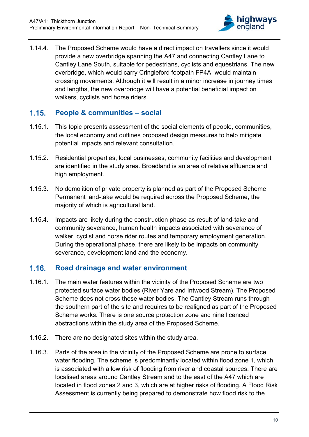

1.14.4. The Proposed Scheme would have a direct impact on travellers since it would provide a new overbridge spanning the A47 and connecting Cantley Lane to Cantley Lane South, suitable for pedestrians, cyclists and equestrians. The new overbridge, which would carry Cringleford footpath FP4A, would maintain crossing movements. Although it will result in a minor increase in journey times and lengths, the new overbridge will have a potential beneficial impact on walkers, cyclists and horse riders.

# **People & communities – social**

- 1.15.1. This topic presents assessment of the social elements of people, communities, the local economy and outlines proposed design measures to help mitigate potential impacts and relevant consultation.
- 1.15.2. Residential properties, local businesses, community facilities and development are identified in the study area. Broadland is an area of relative affluence and high employment.
- 1.15.3. No demolition of private property is planned as part of the Proposed Scheme Permanent land-take would be required across the Proposed Scheme, the majority of which is agricultural land.
- 1.15.4. Impacts are likely during the construction phase as result of land-take and community severance, human health impacts associated with severance of walker, cyclist and horse rider routes and temporary employment generation. During the operational phase, there are likely to be impacts on community severance, development land and the economy.

#### **Road drainage and water environment**

- 1.16.1. The main water features within the vicinity of the Proposed Scheme are two protected surface water bodies (River Yare and Intwood Stream). The Proposed Scheme does not cross these water bodies. The Cantley Stream runs through the southern part of the site and requires to be realigned as part of the Proposed Scheme works. There is one source protection zone and nine licenced abstractions within the study area of the Proposed Scheme.
- 1.16.2. There are no designated sites within the study area.
- 1.16.3. Parts of the area in the vicinity of the Proposed Scheme are prone to surface water flooding. The scheme is predominantly located within flood zone 1, which is associated with a low risk of flooding from river and coastal sources. There are localised areas around Cantley Stream and to the east of the A47 which are located in flood zones 2 and 3, which are at higher risks of flooding. A Flood Risk Assessment is currently being prepared to demonstrate how flood risk to the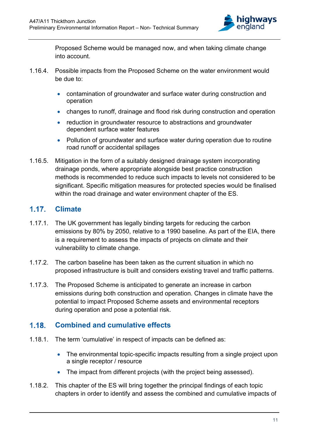

Proposed Scheme would be managed now, and when taking climate change into account.

- 1.16.4. Possible impacts from the Proposed Scheme on the water environment would be due to:
	- contamination of groundwater and surface water during construction and operation
	- changes to runoff, drainage and flood risk during construction and operation
	- reduction in groundwater resource to abstractions and groundwater dependent surface water features
	- Pollution of groundwater and surface water during operation due to routine road runoff or accidental spillages
- 1.16.5. Mitigation in the form of a suitably designed drainage system incorporating drainage ponds, where appropriate alongside best practice construction methods is recommended to reduce such impacts to levels not considered to be significant. Specific mitigation measures for protected species would be finalised within the road drainage and water environment chapter of the ES.

# **Climate**

- 1.17.1. The UK government has legally binding targets for reducing the carbon emissions by 80% by 2050, relative to a 1990 baseline. As part of the EIA, there is a requirement to assess the impacts of projects on climate and their vulnerability to climate change.
- 1.17.2. The carbon baseline has been taken as the current situation in which no proposed infrastructure is built and considers existing travel and traffic patterns.
- 1.17.3. The Proposed Scheme is anticipated to generate an increase in carbon emissions during both construction and operation. Changes in climate have the potential to impact Proposed Scheme assets and environmental receptors during operation and pose a potential risk.

# **Combined and cumulative effects**

- 1.18.1. The term 'cumulative' in respect of impacts can be defined as:
	- The environmental topic-specific impacts resulting from a single project upon a single receptor / resource
	- The impact from different projects (with the project being assessed).
- 1.18.2. This chapter of the ES will bring together the principal findings of each topic chapters in order to identify and assess the combined and cumulative impacts of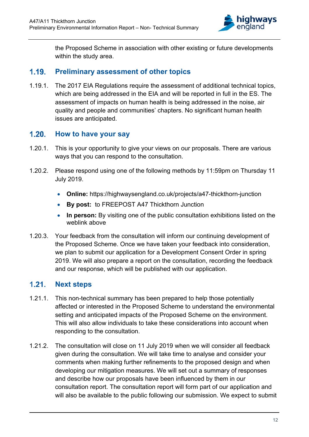

the Proposed Scheme in association with other existing or future developments within the study area.

### **Preliminary assessment of other topics**

1.19.1. The 2017 EIA Regulations require the assessment of additional technical topics, which are being addressed in the EIA and will be reported in full in the ES. The assessment of impacts on human health is being addressed in the noise, air quality and people and communities' chapters. No significant human health issues are anticipated.

# **1.20.** How to have your say

- 1.20.1. This is your opportunity to give your views on our proposals. There are various ways that you can respond to the consultation.
- 1.20.2. Please respond using one of the following methods by 11:59pm on Thursday 11 July 2019.
	- **Online:** https://highwaysengland.co.uk/projects/a47-thickthorn-junction
	- **By post:** to FREEPOST A47 Thickthorn Junction
	- **In person:** By visiting one of the public consultation exhibitions listed on the weblink above
- 1.20.3. Your feedback from the consultation will inform our continuing development of the Proposed Scheme. Once we have taken your feedback into consideration, we plan to submit our application for a Development Consent Order in spring 2019. We will also prepare a report on the consultation, recording the feedback and our response, which will be published with our application.

# 1.21. Next steps

- 1.21.1. This non-technical summary has been prepared to help those potentially affected or interested in the Proposed Scheme to understand the environmental setting and anticipated impacts of the Proposed Scheme on the environment. This will also allow individuals to take these considerations into account when responding to the consultation.
- 1.21.2. The consultation will close on 11 July 2019 when we will consider all feedback given during the consultation. We will take time to analyse and consider your comments when making further refinements to the proposed design and when developing our mitigation measures. We will set out a summary of responses and describe how our proposals have been influenced by them in our consultation report. The consultation report will form part of our application and will also be available to the public following our submission. We expect to submit